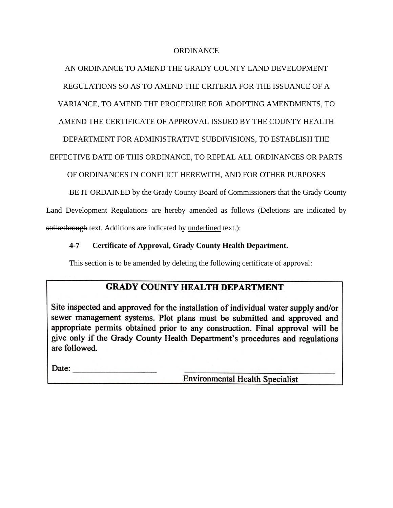### ORDINANCE

## AN ORDINANCE TO AMEND THE GRADY COUNTY LAND DEVELOPMENT

REGULATIONS SO AS TO AMEND THE CRITERIA FOR THE ISSUANCE OF A

VARIANCE, TO AMEND THE PROCEDURE FOR ADOPTING AMENDMENTS, TO

AMEND THE CERTIFICATE OF APPROVAL ISSUED BY THE COUNTY HEALTH

DEPARTMENT FOR ADMINISTRATIVE SUBDIVISIONS, TO ESTABLISH THE

EFFECTIVE DATE OF THIS ORDINANCE, TO REPEAL ALL ORDINANCES OR PARTS

OF ORDINANCES IN CONFLICT HEREWITH, AND FOR OTHER PURPOSES

BE IT ORDAINED by the Grady County Board of Commissioners that the Grady County

Land Development Regulations are hereby amended as follows (Deletions are indicated by strikethrough text. Additions are indicated by <u>underlined</u> text.):

## **4-7 Certificate of Approval, Grady County Health Department.**

This section is to be amended by deleting the following certificate of approval:

# **GRADY COUNTY HEALTH DEPARTMENT**

Site inspected and approved for the installation of individual water supply and/or sewer management systems. Plot plans must be submitted and approved and appropriate permits obtained prior to any construction. Final approval will be give only if the Grady County Health Department's procedures and regulations are followed.

Date:

**Environmental Health Specialist**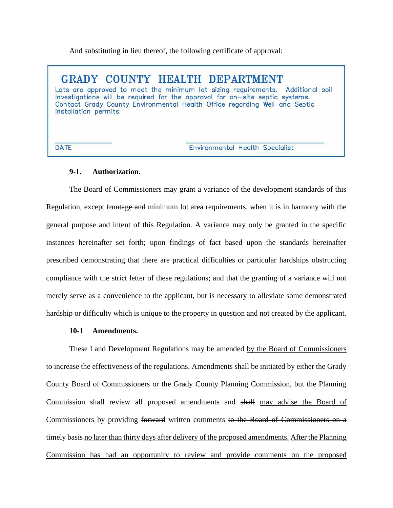And substituting in lieu thereof, the following certificate of approval:

GRADY COUNTY HEALTH DEPARTMENT Lots are approved to meet the minimum lot sizing requirements. Additional soil investigations will be required for the approval for on-site septic systems. Contact Grady County Environmental Health Office regarding Well and Septic installation permits.

**DATE** 

Environmental Health Specialist

### **9-1. Authorization.**

The Board of Commissioners may grant a variance of the development standards of this Regulation, except frontage and minimum lot area requirements, when it is in harmony with the general purpose and intent of this Regulation. A variance may only be granted in the specific instances hereinafter set forth; upon findings of fact based upon the standards hereinafter prescribed demonstrating that there are practical difficulties or particular hardships obstructing compliance with the strict letter of these regulations; and that the granting of a variance will not merely serve as a convenience to the applicant, but is necessary to alleviate some demonstrated hardship or difficulty which is unique to the property in question and not created by the applicant.

#### **10-1 Amendments.**

These Land Development Regulations may be amended by the Board of Commissioners to increase the effectiveness of the regulations. Amendments shall be initiated by either the Grady County Board of Commissioners or the Grady County Planning Commission, but the Planning Commission shall review all proposed amendments and shall may advise the Board of Commissioners by providing forward written comments to the Board of Commissioners on a timely basis no later than thirty days after delivery of the proposed amendments. After the Planning Commission has had an opportunity to review and provide comments on the proposed